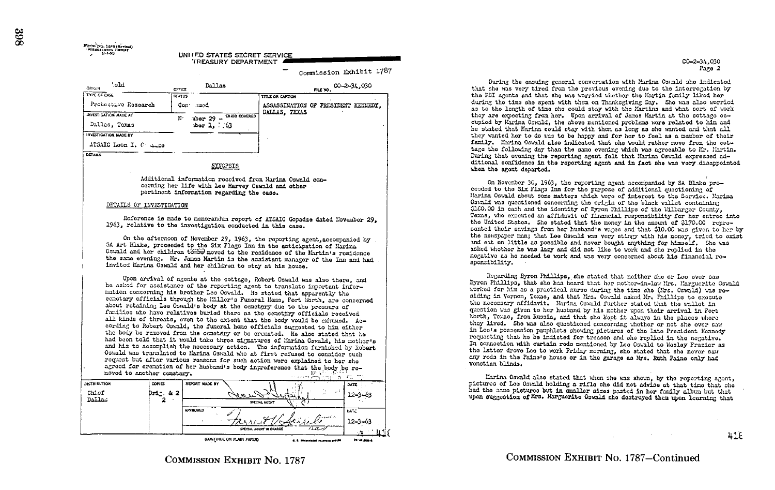Commission Exhibit 1787

| '.eld<br>ORIGIN              | OFFICE           | eallas                                  | $0 - 2 - 34.030$<br>FILE NO.        |  |
|------------------------------|------------------|-----------------------------------------|-------------------------------------|--|
| <b>TYPE OF CASE</b>          | <b>STATUS</b>    |                                         | <b>TITLE OR CAPTION</b>             |  |
| Protective Research          | Con <sup>-</sup> | med                                     | ASSASSINATION OF PRESIDENT KERREDY, |  |
| <b>INVESTIGATION MADE AT</b> | N-               | $\omega$ ber 29 - $\omega$ RIOD COVERED | DALLAS, TEXAS                       |  |
| Dallas, Texas                |                  | $\text{top } 1, \ldots 63$              |                                     |  |
| <b>INVESTIGATION MADE BY</b> |                  |                                         |                                     |  |
| ATSAIC Loon I. C. Auge       |                  |                                         |                                     |  |
| <b>DETAILS</b>               |                  |                                         |                                     |  |
|                              |                  | <b>SYNOPSIS</b>                         |                                     |  |

Additional information received from Marina Oswald concerning her life with Lee Harvey Oswald and other portinent information regarding the case.

## DETAILS OF INVESTIGATION

Reference is made to mamorandum report of ATSAIC Gopadze dated November 29. 1963, rolative to the investigation conducted in this case.

On the afternoon of November 29, 1963, the reporting agent, accompanied by SA Art Blake, proceeded to the Six Flags Inn in the anticipation of Marina Ostald and her children targe moved to the residence of the Hartin's residence the same evening. Mr. James Martin is the assistant manager of the Inn and had invited Marina Oswald and her children to stay at his house.

Upon arrival of agents at the cottage, Robert Oswald was also there, and he asked for assistance of the reporting agent to translate inportant information concerning his brother Lee Oswald. He stated that apparently the comotary officials through the Hiller's Funeral Home, Fort Worth, are concerned about retaining Lee Oswald's body at the conetrary due to the pressure of families who have relatives buried there as the cemetary officials received all kinds of threats, even to the axtent that the body would be exhuned. According to Robert Oswald, the funeral home officials suggested to him either the body be removed from the conetary or be cremated. He also stated that he had been told that it would take three signatures of Harina Oswald, his mother's and his to accomplish the necessary action. The information furnished by Robert Oswald was translated to Marina Oswald who at first refused to consider such request but after various reasons for such action wore explained to her she agreed for cremation of her husband's body ingreference that the body be renoved to another commtery. 

| <b>DISTRIBUTION</b> | <b>COPIES</b> | REPORT MADE BY  |                           |                                   | DATE             |
|---------------------|---------------|-----------------|---------------------------|-----------------------------------|------------------|
| Chiof               | $0r1c.$ & 2   |                 | ے دی ہے                   | $\mathbf{A} \in \mathcal{F}$      | 12–3–63          |
| Dallas              |               |                 | SPECIAL AGENT             |                                   |                  |
|                     |               | <b>APPROVED</b> |                           |                                   | <b>DATE</b>      |
|                     |               |                 | $\sim$                    | Bunett<br>$\mathbf{r}$            | 12-3-63          |
|                     |               |                 | SPECIAL AGENT IN CHARGE   | $^{\prime\prime\prime\prime}$     |                  |
|                     |               |                 | (CONTINUE ON PLAIN PAPER) | A. A. Adventured accounts and the | <b>PETAINMAN</b> |

 $C0 - 2 - 34,030$ Page 2

During the ensuing general conversation with Marina Ostald she indicated that she was very tired from the provious evening due to the interrogation by the FBI agents and that she was werried whether the Martin family liked her during the time she spent with them on Thanksgiving Day. She was also worried as to the length of time she could stay with the Martins and what sort of work they are expecting from her. Upon arrival of James Martin at the cottage occupied by Marina Cowald, the above montioned problems wore related to him and he stated that Marina could stay with them as long as she wanted and that all they wanted her to do was to be happy and for her to feel as a member of their family. Marina Oswald also indicated that she would rather move from the cottage the following day than the same evening which was agreeable to Mr. Martin. During that evening the reporting agent felt that Marina Oswald expressed additional confidence in the reporting agent and in fact she was very disappointed when the agent departed.

On November 30, 1963, the reporting agent accompanied by SA Blake proceoded to the Six Flags Inn for the purpose of additional questioning of Marina Oswald about some matters which were of interest to the Service. Marina Oswald was questioned concerning the origin of the black wallet containing \$160.00 in cash and the identity of Byron Phillips of the Wilbarger County. Texas, who executed an affidavit of financial responsibility for her entrop into the United States. She stated that the money in the amount of \$170.00 represented their savings from her husband's wages and that \$10.00 was given to her by the newspaper man; that Lee Oswald was very stingy with his money, tried to exist and eat on little as possible and nover bought anything for himself. She was asked whother he was lazy and did not like to work and she replied in the negative as he needed to work and was very concerned about his financial rosponsibility.

Regarding Byron Phillips, she stated that neither she or Loe ever caw Byron Phillips, that she has heard that her mother-in-law Mrs. Marguerite Oswald worked for him as a practical nurse during the time she (Mrs. Cawald) was rosiding in Vernon, Toxas, and that Mrs. Oswald asked Mr. Phillips to execute the necessary affidavit. Marina Oswald further stated that the wallet in question was given to her husband by his mother upon their arrival in Fort Worth, Taxas, from Russia, and that she kept it always in the places where they lived. She was also questioned concerning whether or not she ever saw in Loo's possession pamphlets showing pictures of the late President Konnedy requesting that he be indicted for treason and she replied in the negative. In connection with curtain rods mentioned by Lee Oswald to Mesley Frazior as the latter drove Lee to work Friday morning, she stated that she never saw any rods in the Paine's house or in the garage as Mrs. Ruth Paine only had venetian blinds.

Marina Oswald also stated that when she was shown, by the reporting agent, pictures of Lee Cowald holding a rifle she did not advise at that time that she had the same pictures but in smaller sizes pasted in her family album but that upon suggestion of Mrs. Marguerite Oswald she destroyed then upon learning that

**COMMISSION EXHIBIT NO 1787** 

COMMISSION EXHIBIT No. 1787-Continued